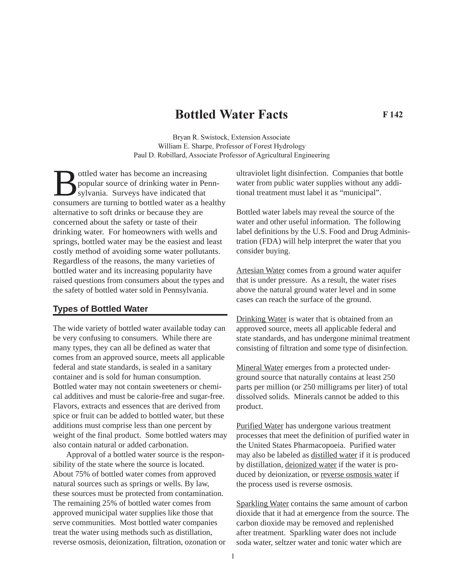# **Bottled Water Facts**

**F 142**

Bryan R. Swistock, Extension Associate William E. Sharpe, Professor of Forest Hydrology Paul D. Robillard, Associate Professor of Agricultural Engineering

ottled water has become an increasing popular source of drinking water in Pennsylvania. Surveys have indicated that consumers are turning to bottled water as a healthy alternative to soft drinks or because they are concerned about the safety or taste of their drinking water. For homeowners with wells and springs, bottled water may be the easiest and least costly method of avoiding some water pollutants. Regardless of the reasons, the many varieties of bottled water and its increasing popularity have raised questions from consumers about the types and the safety of bottled water sold in Pennsylvania.

### **Types of Bottled Water**

The wide variety of bottled water available today can be very confusing to consumers. While there are many types, they can all be defined as water that comes from an approved source, meets all applicable federal and state standards, is sealed in a sanitary container and is sold for human consumption. Bottled water may not contain sweeteners or chemical additives and must be calorie-free and sugar-free. Flavors, extracts and essences that are derived from spice or fruit can be added to bottled water, but these additions must comprise less than one percent by weight of the final product. Some bottled waters may also contain natural or added carbonation.

Approval of a bottled water source is the responsibility of the state where the source is located. About 75% of bottled water comes from approved natural sources such as springs or wells. By law, these sources must be protected from contamination. The remaining 25% of bottled water comes from approved municipal water supplies like those that serve communities. Most bottled water companies treat the water using methods such as distillation, reverse osmosis, deionization, filtration, ozonation or ultraviolet light disinfection. Companies that bottle water from public water supplies without any additional treatment must label it as "municipal".

Bottled water labels may reveal the source of the water and other useful information. The following label definitions by the U.S. Food and Drug Administration (FDA) will help interpret the water that you consider buying.

Artesian Water comes from a ground water aquifer that is under pressure. As a result, the water rises above the natural ground water level and in some cases can reach the surface of the ground.

Drinking Water is water that is obtained from an approved source, meets all applicable federal and state standards, and has undergone minimal treatment consisting of filtration and some type of disinfection.

Mineral Water emerges from a protected underground source that naturally contains at least 250 parts per million (or 250 milligrams per liter) of total dissolved solids. Minerals cannot be added to this product.

Purified Water has undergone various treatment processes that meet the definition of purified water in the United States Pharmacopoeia. Purified water may also be labeled as distilled water if it is produced by distillation, deionized water if the water is produced by deionization, or reverse osmosis water if the process used is reverse osmosis.

Sparkling Water contains the same amount of carbon dioxide that it had at emergence from the source. The carbon dioxide may be removed and replenished after treatment. Sparkling water does not include soda water, seltzer water and tonic water which are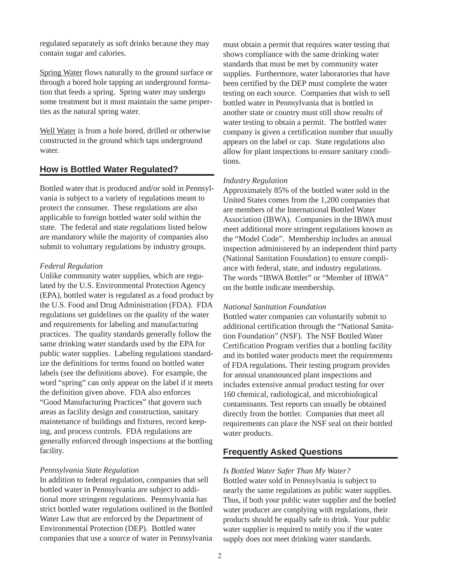regulated separately as soft drinks because they may contain sugar and calories.

Spring Water flows naturally to the ground surface or through a bored hole tapping an underground formation that feeds a spring. Spring water may undergo some treatment but it must maintain the same properties as the natural spring water.

Well Water is from a hole bored, drilled or otherwise constructed in the ground which taps underground water.

# **How is Bottled Water Regulated?**

Bottled water that is produced and/or sold in Pennsylvania is subject to a variety of regulations meant to protect the consumer. These regulations are also applicable to foreign bottled water sold within the state. The federal and state regulations listed below are mandatory while the majority of companies also submit to voluntary regulations by industry groups.

#### *Federal Regulation*

Unlike community water supplies, which are regulated by the U.S. Environmental Protection Agency (EPA), bottled water is regulated as a food product by the U.S. Food and Drug Administration (FDA). FDA regulations set guidelines on the quality of the water and requirements for labeling and manufacturing practices. The quality standards generally follow the same drinking water standards used by the EPA for public water supplies. Labeling regulations standardize the definitions for terms found on bottled water labels (see the definitions above). For example, the word "spring" can only appear on the label if it meets the definition given above. FDA also enforces "Good Manufacturing Practices" that govern such areas as facility design and construction, sanitary maintenance of buildings and fixtures, record keeping, and process controls. FDA regulations are generally enforced through inspections at the bottling facility.

#### *Pennsylvania State Regulation*

In addition to federal regulation, companies that sell bottled water in Pennsylvania are subject to additional more stringent regulations. Pennsylvania has strict bottled water regulations outlined in the Bottled Water Law that are enforced by the Department of Environmental Protection (DEP). Bottled water companies that use a source of water in Pennsylvania

must obtain a permit that requires water testing that shows compliance with the same drinking water standards that must be met by community water supplies. Furthermore, water laboratories that have been certified by the DEP must complete the water testing on each source. Companies that wish to sell bottled water in Pennsylvania that is bottled in another state or country must still show results of water testing to obtain a permit. The bottled water company is given a certification number that usually appears on the label or cap. State regulations also allow for plant inspections to ensure sanitary conditions.

#### *Industry Regulation*

Approximately 85% of the bottled water sold in the United States comes from the 1,200 companies that are members of the International Bottled Water Association (IBWA). Companies in the IBWA must meet additional more stringent regulations known as the "Model Code". Membership includes an annual inspection administered by an independent third party (National Sanitation Foundation) to ensure compliance with federal, state, and industry regulations. The words "IBWA Bottler" or "Member of IBWA" on the bottle indicate membership.

#### *National Sanitation Foundation*

Bottled water companies can voluntarily submit to additional certification through the "National Sanitation Foundation" (NSF). The NSF Bottled Water Certification Program verifies that a bottling facility and its bottled water products meet the requirements of FDA regulations. Their testing program provides for annual unannounced plant inspections and includes extensive annual product testing for over 160 chemical, radiological, and microbiological contaminants. Test reports can usually be obtained directly from the bottler. Companies that meet all requirements can place the NSF seal on their bottled water products.

# **Frequently Asked Questions**

#### *Is Bottled Water Safer Than My Water?*

Bottled water sold in Pennsylvania is subject to nearly the same regulations as public water supplies. Thus, if both your public water supplier and the bottled water producer are complying with regulations, their products should be equally safe to drink. Your public water supplier is required to notify you if the water supply does not meet drinking water standards.